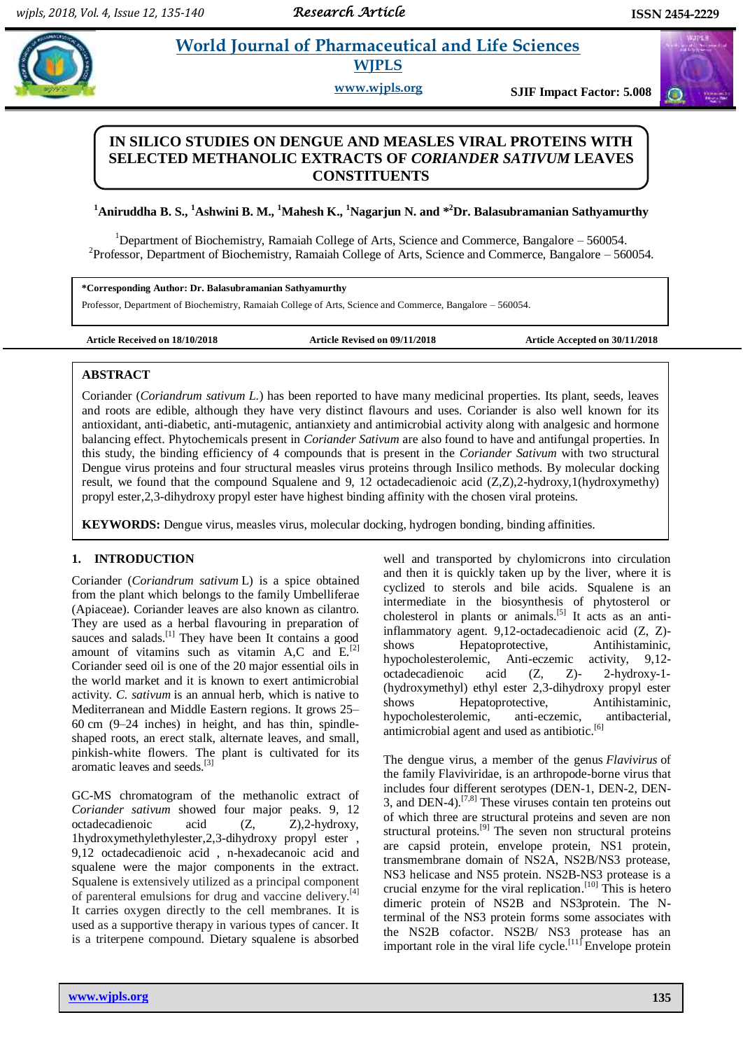## **Example 3** *E* **World Journal of Pharmaceutical and Life Sciences WJPLS**

**www.wjpls.org SJIF Impact Factor: 5.008**

## **IN SILICO STUDIES ON DENGUE AND MEASLES VIRAL PROTEINS WITH SELECTED METHANOLIC EXTRACTS OF** *CORIANDER SATIVUM* **LEAVES CONSTITUENTS**

## **<sup>1</sup>Aniruddha B. S., <sup>1</sup>Ashwini B. M., <sup>1</sup>Mahesh K., <sup>1</sup>Nagarjun N. and \* <sup>2</sup>Dr. Balasubramanian Sathyamurthy**

<sup>1</sup>Department of Biochemistry, Ramaiah College of Arts, Science and Commerce, Bangalore – 560054.  $2$ Professor, Department of Biochemistry, Ramaiah College of Arts, Science and Commerce, Bangalore – 560054.

**\*Corresponding Author: Dr. Balasubramanian Sathyamurthy**

Professor, Department of Biochemistry, Ramaiah College of Arts, Science and Commerce, Bangalore – 560054.

**Article Received on 18/10/2018 Article Revised on 09/11/2018 Article Accepted on 30/11/2018**

## **ABSTRACT**

Coriander (*Coriandrum sativum L.*) has been reported to have many medicinal properties. Its plant, seeds, leaves and roots are edible, although they have very distinct flavours and uses. Coriander is also well known for its antioxidant, anti-diabetic, anti-mutagenic, antianxiety and antimicrobial activity along with analgesic and hormone balancing effect. Phytochemicals present in *Coriander Sativum* are also found to have and antifungal properties. In this study, the binding efficiency of 4 compounds that is present in the *Coriander Sativum* with two structural Dengue virus proteins and four structural measles virus proteins through Insilico methods. By molecular docking result, we found that the compound Squalene and 9, 12 octadecadienoic acid (Z,Z),2-hydroxy,1(hydroxymethy) propyl ester,2,3-dihydroxy propyl ester have highest binding affinity with the chosen viral proteins.

**KEYWORDS:** Dengue virus, measles virus, molecular docking, hydrogen bonding, binding affinities.

## **1. INTRODUCTION**

Coriander (*Coriandrum sativum* L) is a spice obtained from the plant which belongs to the family Umbelliferae (Apiaceae). Coriander leaves are also known as cilantro. They are used as a herbal flavouring in preparation of sauces and salads.<sup>[1]</sup> They have been It contains a good amount of vitamins such as vitamin A,C and  $E^{[2]}$ Coriander seed oil is one of the 20 major essential oils in the world market and it is known to exert antimicrobial activity. *C. sativum* is an annual herb, which is native to Mediterranean and Middle Eastern regions. It grows 25– 60 cm (9–24 inches) in height, and has thin, spindleshaped roots, an erect stalk, alternate leaves, and small, pinkish-white flowers. The plant is cultivated for its aromatic leaves and seeds.<sup>[3]</sup>

GC-MS chromatogram of the methanolic extract of *Coriander sativum* showed four major peaks. 9, 12 octadecadienoic acid (Z, Z),2-hydroxy, 1hydroxymethylethylester,2,3-dihydroxy propyl ester , 9,12 octadecadienoic acid , n-hexadecanoic acid and squalene were the major components in the extract. Squalene is extensively utilized as a principal component of parenteral emulsions for drug and vaccine delivery.<sup>[4]</sup> It carries oxygen directly to the cell membranes. It is used as a supportive therapy in various types of cancer. It is a triterpene compound. Dietary squalene is absorbed

well and transported by chylomicrons into circulation and then it is quickly taken up by the liver, where it is cyclized to sterols and bile acids. Squalene is an intermediate in the biosynthesis of phytosterol or cholesterol in plants or animals.<sup>[5]</sup> It acts as an antiinflammatory agent. 9,12-octadecadienoic acid (Z, Z) shows Hepatoprotective, Antihistaminic, hypocholesterolemic, Anti-eczemic activity, 9,12 octadecadienoic acid (Z, Z)- 2-hydroxy-1- (hydroxymethyl) ethyl ester 2,3-dihydroxy propyl ester shows Hepatoprotective, Antihistaminic, hypocholesterolemic, anti-eczemic, antibacterial, antimicrobial agent and used as antibiotic. [6]

The dengue virus, a member of the genus *Flavivirus* of the family Flaviviridae, is an arthropode-borne virus that includes four different serotypes (DEN-1, DEN-2, DEN-3, and DEN-4).<sup>[7,8]</sup> These viruses contain ten proteins out of which three are structural proteins and seven are non structural proteins.<sup>[9]</sup> The seven non structural proteins are capsid protein, envelope protein, NS1 protein, transmembrane domain of NS2A, NS2B/NS3 protease, NS3 helicase and NS5 protein. NS2B-NS3 protease is a crucial enzyme for the viral replication. [10] This is hetero dimeric protein of NS2B and NS3protein. The Nterminal of the NS3 protein forms some associates with the NS2B cofactor. NS2B/ NS3 protease has an important role in the viral life cycle.<sup>[11]</sup> Envelope protein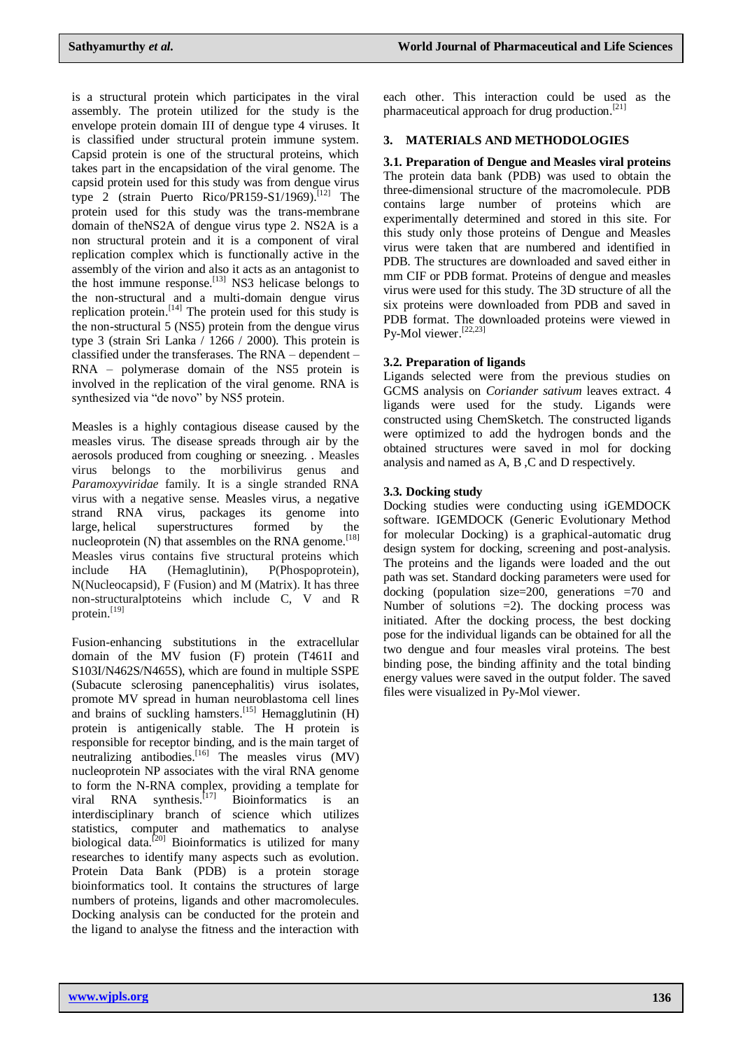is a structural protein which participates in the viral assembly. The protein utilized for the study is the envelope protein domain III of dengue type 4 viruses. It is classified under structural protein immune system. Capsid protein is one of the structural proteins, which takes part in the encapsidation of the viral genome. The capsid protein used for this study was from dengue virus type 2 (strain Puerto Rico/PR159-S1/1969). [12] The protein used for this study was the trans-membrane domain of theNS2A of dengue virus type 2. NS2A is a non structural protein and it is a component of viral replication complex which is functionally active in the assembly of the virion and also it acts as an antagonist to the host immune response.<sup>[13]</sup> NS3 helicase belongs to the non-structural and a multi-domain dengue virus replication protein.<sup>[14]</sup> The protein used for this study is the non-structural 5 (NS5) protein from the dengue virus type 3 (strain Sri Lanka / 1266 / 2000). This protein is classified under the transferases. The RNA – dependent – RNA – polymerase domain of the NS5 protein is involved in the replication of the viral genome. RNA is synthesized via "de novo" by NS5 protein.

Measles is a highly contagious disease caused by the measles virus. The disease spreads through air by the aerosols produced from coughing or sneezing. . Measles virus belongs to the morbilivirus genus and *Paramoxyviridae* family. It is a single stranded RNA virus with a negative sense. Measles virus, a negative strand RNA virus, packages its genome into large, helical superstructures formed by the nucleoprotein (N) that assembles on the RNA genome.<sup>[18]</sup> Measles virus contains five structural proteins which include HA (Hemaglutinin), P(Phospoprotein), N(Nucleocapsid), F (Fusion) and M (Matrix). It has three non-structuralptoteins which include C, V and R protein. [19]

Fusion-enhancing substitutions in the extracellular domain of the MV fusion (F) protein (T461I and S103I/N462S/N465S), which are found in multiple SSPE (Subacute sclerosing panencephalitis) virus isolates, promote MV spread in human neuroblastoma cell lines and brains of suckling hamsters.<sup>[15]</sup> Hemagglutinin (H) protein is antigenically stable. The H protein is responsible for receptor binding, and is the main target of neutralizing antibodies.<sup>[16]</sup> The measles virus (MV) nucleoprotein NP associates with the viral RNA genome to form the N-RNA complex, providing a template for viral RNA synthesis.<sup>[17]</sup> Bioinformatics is an interdisciplinary branch of science which utilizes statistics, computer and mathematics to analyse biological data.<sup>[20]</sup> Bioinformatics is utilized for many researches to identify many aspects such as evolution. Protein Data Bank (PDB) is a protein storage bioinformatics tool. It contains the structures of large numbers of proteins, ligands and other macromolecules. Docking analysis can be conducted for the protein and the ligand to analyse the fitness and the interaction with each other. This interaction could be used as the pharmaceutical approach for drug production.<sup>[21]</sup>

## **3. MATERIALS AND METHODOLOGIES**

**3.1. Preparation of Dengue and Measles viral proteins** The protein data bank (PDB) was used to obtain the three-dimensional structure of the macromolecule. PDB contains large number of proteins which are experimentally determined and stored in this site. For this study only those proteins of Dengue and Measles virus were taken that are numbered and identified in PDB. The structures are downloaded and saved either in mm CIF or PDB format. Proteins of dengue and measles virus were used for this study. The 3D structure of all the six proteins were downloaded from PDB and saved in PDB format. The downloaded proteins were viewed in Py-Mol viewer.<sup>[22,23]</sup>

## **3.2. Preparation of ligands**

Ligands selected were from the previous studies on GCMS analysis on *Coriander sativum* leaves extract. 4 ligands were used for the study. Ligands were constructed using ChemSketch. The constructed ligands were optimized to add the hydrogen bonds and the obtained structures were saved in mol for docking analysis and named as A, B ,C and D respectively.

## **3.3. Docking study**

Docking studies were conducting using iGEMDOCK software. IGEMDOCK (Generic Evolutionary Method for molecular Docking) is a graphical-automatic drug design system for docking, screening and post-analysis. The proteins and the ligands were loaded and the out path was set. Standard docking parameters were used for docking (population size=200, generations =70 and Number of solutions  $=2$ ). The docking process was initiated. After the docking process, the best docking pose for the individual ligands can be obtained for all the two dengue and four measles viral proteins. The best binding pose, the binding affinity and the total binding energy values were saved in the output folder. The saved files were visualized in Py-Mol viewer.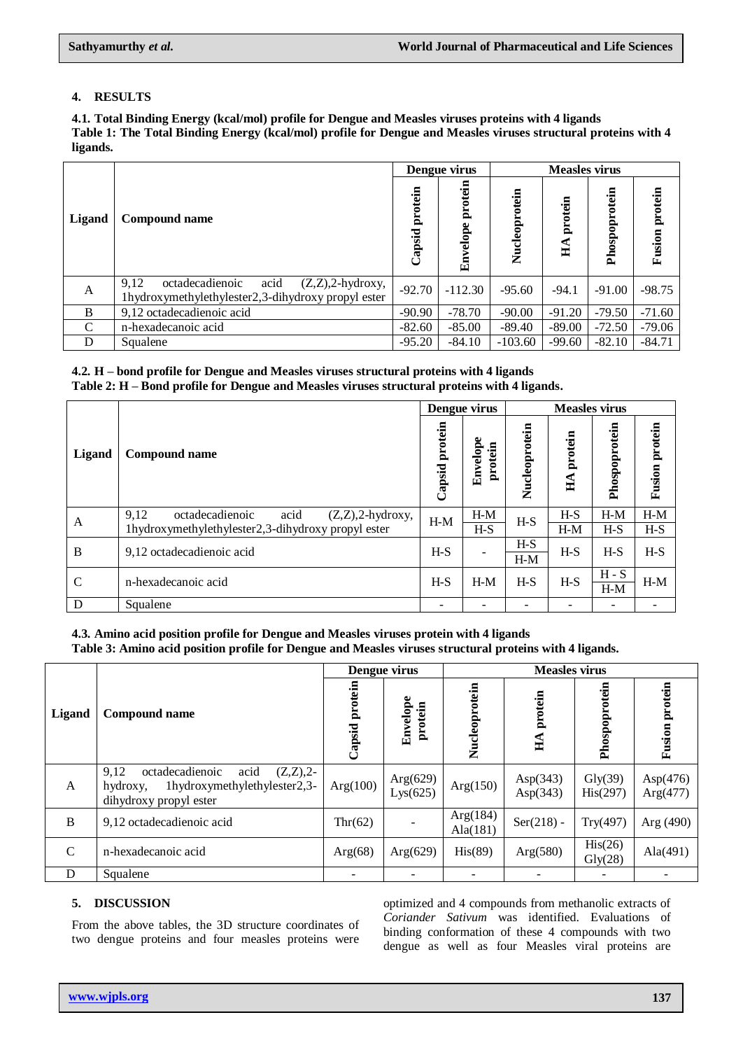## **4. RESULTS**

**4.1. Total Binding Energy (kcal/mol) profile for Dengue and Measles viruses proteins with 4 ligands Table 1: The Total Binding Energy (kcal/mol) profile for Dengue and Measles viruses structural proteins with 4 ligands.**

|              |                                                                                                              |                   | Dengue virus        |               | <b>Measles virus</b>  |               |                   |  |
|--------------|--------------------------------------------------------------------------------------------------------------|-------------------|---------------------|---------------|-----------------------|---------------|-------------------|--|
| Ligand       | <b>Compound name</b>                                                                                         | protein<br>Capsid | protein<br>Envelope | Nucleoprotein | protein<br>$H\Lambda$ | Phospoprotein | protein<br>Fusion |  |
| $\mathbf{A}$ | acid<br>9.12<br>octadecadienoic<br>$(Z,Z),2$ -hydroxy,<br>1hydroxymethylethylester2,3-dihydroxy propyl ester | $-92.70$          | $-112.30$           | $-95.60$      | $-94.1$               | $-91.00$      | $-98.75$          |  |
| B            | 9,12 octadecadienoic acid                                                                                    | $-90.90$          | $-78.70$            | $-90.00$      | $-91.20$              | $-79.50$      | $-71.60$          |  |
| C            | n-hexadecanoic acid                                                                                          | $-82.60$          | $-85.00$            | $-89.40$      | $-89.00$              | $-72.50$      | $-79.06$          |  |
| D            | Squalene                                                                                                     | $-95.20$          | $-84.10$            | $-103.60$     | $-99.60$              | $-82.10$      | $-84.71$          |  |

# **4.2. H – bond profile for Dengue and Measles viruses structural proteins with 4 ligands**

**Table 2: H – Bond profile for Dengue and Measles viruses structural proteins with 4 ligands.**

|               |                                                        | Dengue virus   |                     | <b>Measles virus</b> |                       |               |                       |
|---------------|--------------------------------------------------------|----------------|---------------------|----------------------|-----------------------|---------------|-----------------------|
| Ligand        | Compound name                                          | Capsid protein | Envelope<br>protein | Nucleoprotein        | protein<br>$H\Lambda$ | Phospoprotein | <b>Fusion protein</b> |
| A             | 9.12<br>acid<br>$(Z,Z),2$ -hydroxy,<br>octadecadienoic | $H-M$          | $H-M$               | $H-S$                | $H-S$                 | $H-M$         | $H-M$                 |
|               | 1hydroxymethylethylester2,3-dihydroxy propyl ester     |                | $H-S$               |                      | $H-M$                 | $H-S$         | $H-S$                 |
| B             | 9,12 octadecadienoic acid                              | $H-S$          |                     | $H-S$                | $H-S$                 | $H-S$         | $H-S$                 |
|               |                                                        |                |                     | $H-M$                |                       |               |                       |
| $\mathcal{C}$ | n-hexadecanoic acid                                    | $H-S$          | $H-M$               | $H-S$                | $H-S$                 | $H-S$         | $H-M$                 |
|               |                                                        |                |                     |                      |                       | $H-M$         |                       |
| D             | Squalene                                               |                |                     |                      |                       |               |                       |

## **4.3. Amino acid position profile for Dengue and Measles viruses protein with 4 ligands**

**Table 3: Amino acid position profile for Dengue and Measles viruses structural proteins with 4 ligands.**

|               |                                                                                                                     |                   | Dengue virus         | <b>Measles virus</b>    |                            |                              |                         |  |
|---------------|---------------------------------------------------------------------------------------------------------------------|-------------------|----------------------|-------------------------|----------------------------|------------------------------|-------------------------|--|
| <b>Ligand</b> | <b>Compound name</b>                                                                                                | protein<br>Capsid | Envelope<br>protein  | Nucleoprotein           | protein<br>$H\Lambda$      | Phospoprotein                | protein<br>Fusion       |  |
| $\mathbf{A}$  | 9,12<br>acid<br>octadecadienoic<br>$(Z,Z),2-$<br>1hydroxymethylethylester2,3-<br>hydroxy,<br>dihydroxy propyl ester | Arg(100)          | Arg(629)<br>Lys(625) | Arg(150)                | Asp $(343)$<br>Asp $(343)$ | $\text{Gly}(39)$<br>His(297) | Asp $(476)$<br>Arg(477) |  |
| B             | 9,12 octadecadienoic acid                                                                                           | Thr(62)           |                      | Arg(184)<br>Ala $(181)$ | $Ser(218) -$               | Try(497)                     | Arg (490)               |  |
| $\mathcal{C}$ | n-hexadecanoic acid                                                                                                 | Arg(68)           | Arg(629)             | His(89)                 | Arg(580)                   | His(26)<br>$\text{Gly}(28)$  | Ala $(491)$             |  |
| D             | Squalene                                                                                                            |                   |                      |                         |                            |                              |                         |  |

## **5. DISCUSSION**

From the above tables, the 3D structure coordinates of two dengue proteins and four measles proteins were

optimized and 4 compounds from methanolic extracts of *Coriander Sativum* was identified. Evaluations of binding conformation of these 4 compounds with two dengue as well as four Measles viral proteins are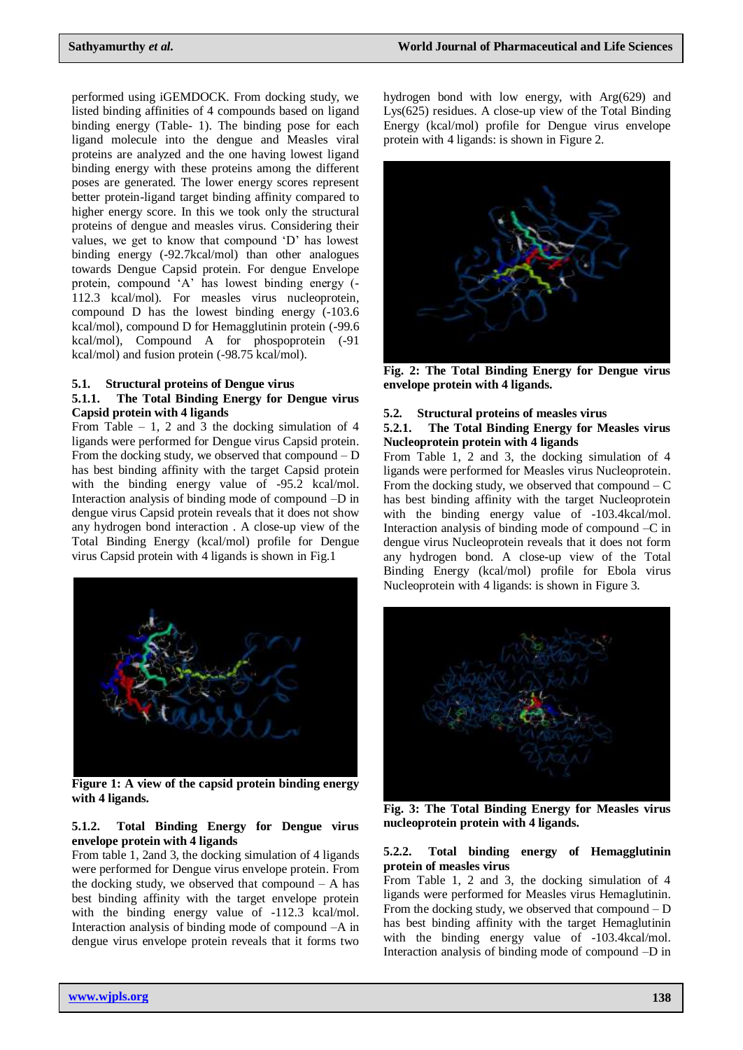performed using iGEMDOCK. From docking study, we listed binding affinities of 4 compounds based on ligand binding energy (Table- 1). The binding pose for each ligand molecule into the dengue and Measles viral proteins are analyzed and the one having lowest ligand binding energy with these proteins among the different poses are generated. The lower energy scores represent better protein-ligand target binding affinity compared to higher energy score. In this we took only the structural proteins of dengue and measles virus. Considering their values, we get to know that compound "D" has lowest binding energy (-92.7kcal/mol) than other analogues towards Dengue Capsid protein. For dengue Envelope protein, compound "A" has lowest binding energy (- 112.3 kcal/mol). For measles virus nucleoprotein, compound D has the lowest binding energy (-103.6 kcal/mol), compound D for Hemagglutinin protein (-99.6 kcal/mol), Compound A for phospoprotein (-91 kcal/mol) and fusion protein (-98.75 kcal/mol).

#### **5.1. Structural proteins of Dengue virus**

#### **5.1.1. The Total Binding Energy for Dengue virus Capsid protein with 4 ligands**

From Table  $-1$ , 2 and 3 the docking simulation of 4 ligands were performed for Dengue virus Capsid protein. From the docking study, we observed that compound  $-D$ has best binding affinity with the target Capsid protein with the binding energy value of -95.2 kcal/mol. Interaction analysis of binding mode of compound –D in dengue virus Capsid protein reveals that it does not show any hydrogen bond interaction . A close-up view of the Total Binding Energy (kcal/mol) profile for Dengue virus Capsid protein with 4 ligands is shown in Fig.1



**Figure 1: A view of the capsid protein binding energy with 4 ligands.**

#### **5.1.2. Total Binding Energy for Dengue virus envelope protein with 4 ligands**

From table 1, 2and 3, the docking simulation of 4 ligands were performed for Dengue virus envelope protein. From the docking study, we observed that compound  $-$  A has best binding affinity with the target envelope protein with the binding energy value of -112.3 kcal/mol. Interaction analysis of binding mode of compound –A in dengue virus envelope protein reveals that it forms two

hydrogen bond with low energy, with Arg(629) and Lys(625) residues. A close-up view of the Total Binding Energy (kcal/mol) profile for Dengue virus envelope protein with 4 ligands: is shown in Figure 2.



**Fig. 2: The Total Binding Energy for Dengue virus envelope protein with 4 ligands.**

#### **5.2. Structural proteins of measles virus**

#### **5.2.1. The Total Binding Energy for Measles virus Nucleoprotein protein with 4 ligands**

From Table 1, 2 and 3, the docking simulation of 4 ligands were performed for Measles virus Nucleoprotein. From the docking study, we observed that compound  $-C$ has best binding affinity with the target Nucleoprotein with the binding energy value of  $-103.4$ kcal/mol. Interaction analysis of binding mode of compound –C in dengue virus Nucleoprotein reveals that it does not form any hydrogen bond. A close-up view of the Total Binding Energy (kcal/mol) profile for Ebola virus Nucleoprotein with 4 ligands: is shown in Figure 3.



**Fig. 3: The Total Binding Energy for Measles virus nucleoprotein protein with 4 ligands.**

#### **5.2.2. Total binding energy of Hemagglutinin protein of measles virus**

From Table 1, 2 and 3, the docking simulation of 4 ligands were performed for Measles virus Hemaglutinin. From the docking study, we observed that compound  $-D$ has best binding affinity with the target Hemaglutinin with the binding energy value of -103.4kcal/mol. Interaction analysis of binding mode of compound –D in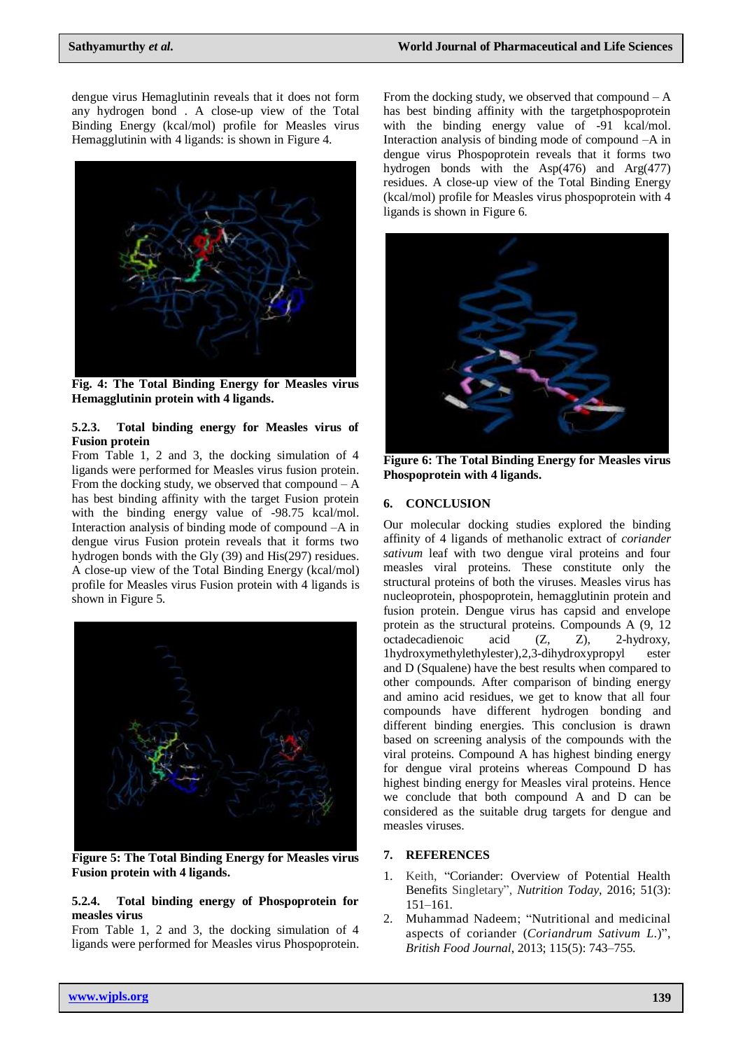dengue virus Hemaglutinin reveals that it does not form any hydrogen bond . A close-up view of the Total Binding Energy (kcal/mol) profile for Measles virus Hemagglutinin with 4 ligands: is shown in Figure 4.



**Fig. 4: The Total Binding Energy for Measles virus Hemagglutinin protein with 4 ligands.**

#### **5.2.3. Total binding energy for Measles virus of Fusion protein**

From Table 1, 2 and 3, the docking simulation of 4 ligands were performed for Measles virus fusion protein. From the docking study, we observed that compound  $-A$ has best binding affinity with the target Fusion protein with the binding energy value of -98.75 kcal/mol. Interaction analysis of binding mode of compound –A in dengue virus Fusion protein reveals that it forms two hydrogen bonds with the Gly (39) and His(297) residues. A close-up view of the Total Binding Energy (kcal/mol) profile for Measles virus Fusion protein with 4 ligands is shown in Figure 5.



**Figure 5: The Total Binding Energy for Measles virus Fusion protein with 4 ligands.**

#### **5.2.4. Total binding energy of Phospoprotein for measles virus**

From Table 1, 2 and 3, the docking simulation of 4 ligands were performed for Measles virus Phospoprotein.

From the docking study, we observed that compound  $-A$ has best binding affinity with the targetphospoprotein with the binding energy value of -91 kcal/mol. Interaction analysis of binding mode of compound –A in dengue virus Phospoprotein reveals that it forms two hydrogen bonds with the Asp(476) and Arg(477) residues. A close-up view of the Total Binding Energy (kcal/mol) profile for Measles virus phospoprotein with 4 ligands is shown in Figure 6.



**Figure 6: The Total Binding Energy for Measles virus Phospoprotein with 4 ligands.**

## **6. CONCLUSION**

Our molecular docking studies explored the binding affinity of 4 ligands of methanolic extract of *coriander sativum* leaf with two dengue viral proteins and four measles viral proteins. These constitute only the structural proteins of both the viruses. Measles virus has nucleoprotein, phospoprotein, hemagglutinin protein and fusion protein. Dengue virus has capsid and envelope protein as the structural proteins. Compounds A (9, 12 octadecadienoic acid (Z, Z), 2-hydroxy, 1hydroxymethylethylester),2,3-dihydroxypropyl ester and D (Squalene) have the best results when compared to other compounds. After comparison of binding energy and amino acid residues, we get to know that all four compounds have different hydrogen bonding and different binding energies. This conclusion is drawn based on screening analysis of the compounds with the viral proteins. Compound A has highest binding energy for dengue viral proteins whereas Compound D has highest binding energy for Measles viral proteins. Hence we conclude that both compound A and D can be considered as the suitable drug targets for dengue and measles viruses.

#### **7. REFERENCES**

- 1. Keith, "Coriander: Overview of Potential Health Benefits Singletary", *Nutrition Today*, 2016; 51(3): 151–161.
- 2. Muhammad Nadeem; "Nutritional and medicinal aspects of coriander (*Coriandrum Sativum L*.)", *British Food Journal*, 2013; 115(5): 743–755.